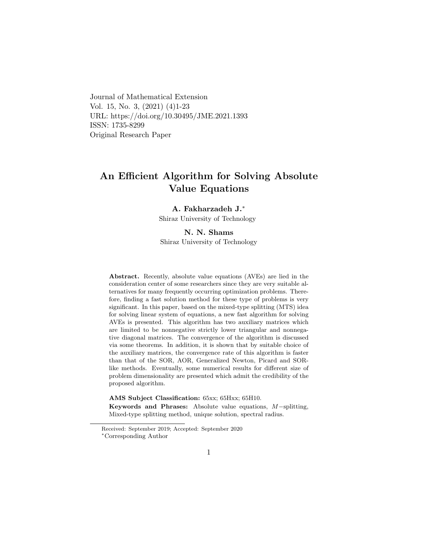Journal of Mathematical Extension Vol. 15, No. 3, (2021) (4)1-23 URL: https://doi.org/10.30495/JME.2021.1393 ISSN: 1735-8299 Original Research Paper

# An Efficient Algorithm for Solving Absolute Value Equations

### A. Fakharzadeh J.[∗](#page-0-0)

Shiraz University of Technology

#### N. N. Shams

Shiraz University of Technology

Abstract. Recently, absolute value equations (AVEs) are lied in the consideration center of some researchers since they are very suitable alternatives for many frequently occurring optimization problems. Therefore, finding a fast solution method for these type of problems is very significant. In this paper, based on the mixed-type splitting (MTS) idea for solving linear system of equations, a new fast algorithm for solving AVEs is presented. This algorithm has two auxiliary matrices which are limited to be nonnegative strictly lower triangular and nonnegative diagonal matrices. The convergence of the algorithm is discussed via some theorems. In addition, it is shown that by suitable choice of the auxiliary matrices, the convergence rate of this algorithm is faster than that of the SOR, AOR, Generalized Newton, Picard and SORlike methods. Eventually, some numerical results for different size of problem dimensionality are presented which admit the credibility of the proposed algorithm.

AMS Subject Classification: 65xx; 65Hxx; 65H10.

Keywords and Phrases: Absolute value equations, M−splitting, Mixed-type splitting method, unique solution, spectral radius.

Received: September 2019; Accepted: September 2020

<span id="page-0-0"></span><sup>∗</sup>Corresponding Author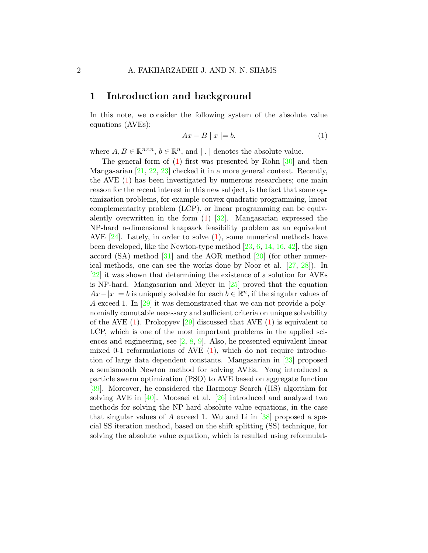## 1 Introduction and background

In this note, we consider the following system of the absolute value equations (AVEs):

<span id="page-1-0"></span>
$$
Ax - B \mid x \mid = b. \tag{1}
$$

where  $A, B \in \mathbb{R}^{n \times n}$ ,  $b \in \mathbb{R}^n$ , and  $| \cdot |$  denotes the absolute value.

The general form of [\(1\)](#page-1-0) first was presented by Rohn [\[30\]](#page-21-0) and then Mangasarian [\[21,](#page-20-0) [22,](#page-20-1) [23\]](#page-20-2) checked it in a more general context. Recently, the AVE [\(1\)](#page-1-0) has been investigated by numerous researchers; one main reason for the recent interest in this new subject, is the fact that some optimization problems, for example convex quadratic programming, linear complementarity problem (LCP), or linear programming can be equivalently overwritten in the form [\(1\)](#page-1-0) [\[32\]](#page-21-1). Mangasarian expressed the NP-hard n-dimensional knapsack feasibility problem as an equivalent AVE  $[24]$ . Lately, in order to solve  $(1)$ , some numerical methods have been developed, like the Newton-type method [\[23,](#page-20-2) [6,](#page-19-0) [14,](#page-19-1) [16,](#page-19-2) [42\]](#page-22-0), the sign accord  $(SA)$  method  $[31]$  and the AOR method  $[20]$  (for other numerical methods, one can see the works done by Noor et al. [\[27,](#page-20-5) [28\]](#page-20-6)). In [\[22\]](#page-20-1) it was shown that determining the existence of a solution for AVEs is NP-hard. Mangasarian and Meyer in [\[25\]](#page-20-7) proved that the equation  $Ax - |x| = b$  is uniquely solvable for each  $b \in \mathbb{R}^n$ , if the singular values of A exceed 1. In [\[29\]](#page-21-3) it was demonstrated that we can not provide a polynomially comutable necessary and sufficient criteria on unique solvability of the AVE  $(1)$ . Prokopyev  $[29]$  discussed that AVE  $(1)$  is equivalent to LCP, which is one of the most important problems in the applied sciences and engineering, see  $[2, 8, 9]$  $[2, 8, 9]$  $[2, 8, 9]$  $[2, 8, 9]$ . Also, he presented equivalent linear mixed 0-1 reformulations of AVE  $(1)$ , which do not require introduction of large data dependent constants. Mangasarian in [\[23\]](#page-20-2) proposed a semismooth Newton method for solving AVEs. Yong introduced a particle swarm optimization (PSO) to AVE based on aggregate function [\[39\]](#page-21-4). Moreover, he considered the Harmony Search (HS) algorithm for solving AVE in [\[40\]](#page-21-5). Moosaei et al. [\[26\]](#page-20-8) introduced and analyzed two methods for solving the NP-hard absolute value equations, in the case that singular values of A exceed 1. Wu and Li in  $[38]$  proposed a special SS iteration method, based on the shift splitting (SS) technique, for solving the absolute value equation, which is resulted using reformulat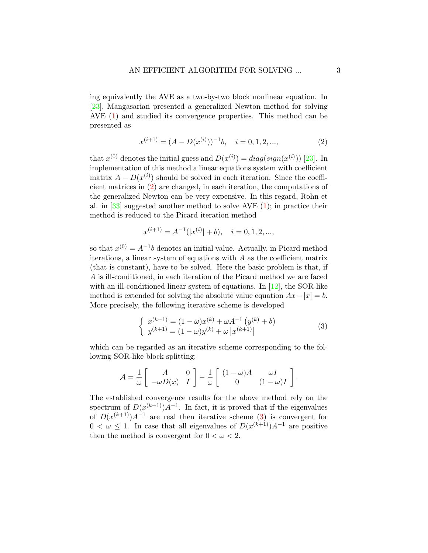ing equivalently the AVE as a two-by-two block nonlinear equation. In [\[23\]](#page-20-2), Mangasarian presented a generalized Newton method for solving AVE [\(1\)](#page-1-0) and studied its convergence properties. This method can be presented as

<span id="page-2-0"></span>
$$
x^{(i+1)} = (A - D(x^{(i)}))^{-1}b, \quad i = 0, 1, 2, \dots,
$$
 (2)

that  $x^{(0)}$  denotes the initial guess and  $D(x^{(i)}) = diag(sign(x^{(i)}))$  [\[23\]](#page-20-2). In implementation of this method a linear equations system with coefficient matrix  $A - D(x^{(i)})$  should be solved in each iteration. Since the coefficient matrices in [\(2\)](#page-2-0) are changed, in each iteration, the computations of the generalized Newton can be very expensive. In this regard, Rohn et al. in  $[33]$  suggested another method to solve AVE  $(1)$ ; in practice their method is reduced to the Picard iteration method

$$
x^{(i+1)} = A^{-1}(|x^{(i)}| + b), \quad i = 0, 1, 2, \dots,
$$

so that  $x^{(0)} = A^{-1}b$  denotes an initial value. Actually, in Picard method iterations, a linear system of equations with  $A$  as the coefficient matrix (that is constant), have to be solved. Here the basic problem is that, if A is ill-conditioned, in each iteration of the Picard method we are faced with an ill-conditioned linear system of equations. In [\[12\]](#page-19-5), the SOR-like method is extended for solving the absolute value equation  $Ax-|x|=b$ . More precisely, the following iterative scheme is developed

<span id="page-2-1"></span>
$$
\begin{cases}\nx^{(k+1)} = (1 - \omega)x^{(k)} + \omega A^{-1} (y^{(k)} + b) \\
y^{(k+1)} = (1 - \omega)y^{(k)} + \omega |x^{(k+1)}| \n\end{cases} \tag{3}
$$

which can be regarded as an iterative scheme corresponding to the following SOR-like block splitting:

$$
\mathcal{A} = \frac{1}{\omega} \left[ \begin{array}{cc} A & 0 \\ -\omega D(x) & I \end{array} \right] - \frac{1}{\omega} \left[ \begin{array}{cc} (1 - \omega)A & \omega I \\ 0 & (1 - \omega)I \end{array} \right].
$$

The established convergence results for the above method rely on the spectrum of  $D(x^{(k+1)})A^{-1}$ . In fact, it is proved that if the eigenvalues of  $D(x^{(k+1)})A^{-1}$  are real then iterative scheme [\(3\)](#page-2-1) is convergent for  $0 < \omega \leq 1$ . In case that all eigenvalues of  $D(x^{(k+1)})A^{-1}$  are positive then the method is convergent for  $0 < \omega < 2$ .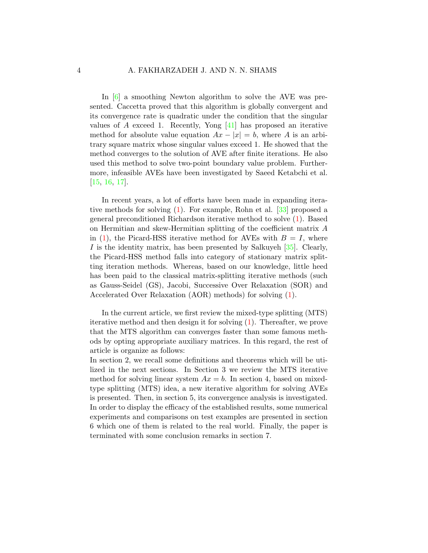In [\[6\]](#page-19-0) a smoothing Newton algorithm to solve the AVE was presented. Caccetta proved that this algorithm is globally convergent and its convergence rate is quadratic under the condition that the singular values of A exceed 1. Recently, Yong  $[41]$  has proposed an iterative method for absolute value equation  $Ax - |x| = b$ , where A is an arbitrary square matrix whose singular values exceed 1. He showed that the method converges to the solution of AVE after finite iterations. He also used this method to solve two-point boundary value problem. Furthermore, infeasible AVEs have been investigated by Saeed Ketabchi et al. [\[15,](#page-19-6) [16,](#page-19-2) [17\]](#page-20-9).

In recent years, a lot of efforts have been made in expanding iterative methods for solving [\(1\)](#page-1-0). For example, Rohn et al. [\[33\]](#page-21-7) proposed a general preconditioned Richardson iterative method to solve [\(1\)](#page-1-0). Based on Hermitian and skew-Hermitian splitting of the coefficient matrix A in  $(1)$ , the Picard-HSS iterative method for AVEs with  $B = I$ , where I is the identity matrix, has been presented by Salkuyeh [\[35\]](#page-21-9). Clearly, the Picard-HSS method falls into category of stationary matrix splitting iteration methods. Whereas, based on our knowledge, little heed has been paid to the classical matrix-splitting iterative methods (such as Gauss-Seidel (GS), Jacobi, Successive Over Relaxation (SOR) and Accelerated Over Relaxation (AOR) methods) for solving [\(1\)](#page-1-0).

In the current article, we first review the mixed-type splitting (MTS) iterative method and then design it for solving [\(1\)](#page-1-0). Thereafter, we prove that the MTS algorithm can converges faster than some famous methods by opting appropriate auxiliary matrices. In this regard, the rest of article is organize as follows:

In section 2, we recall some definitions and theorems which will be utilized in the next sections. In Section 3 we review the MTS iterative method for solving linear system  $Ax = b$ . In section 4, based on mixedtype splitting (MTS) idea, a new iterative algorithm for solving AVEs is presented. Then, in section 5, its convergence analysis is investigated. In order to display the efficacy of the established results, some numerical experiments and comparisons on test examples are presented in section 6 which one of them is related to the real world. Finally, the paper is terminated with some conclusion remarks in section 7.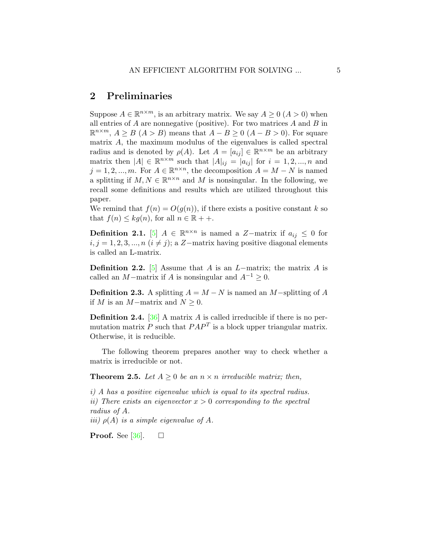# 2 Preliminaries

Suppose  $A \in \mathbb{R}^{n \times m}$ , is an arbitrary matrix. We say  $A \geq 0$   $(A > 0)$  when all entries of  $A$  are nonnegative (positive). For two matrices  $A$  and  $B$  in  $\mathbb{R}^{n \times m}$ ,  $A \geq B$  ( $A > B$ ) means that  $A - B \geq 0$  ( $A - B > 0$ ). For square matrix A, the maximum modulus of the eigenvalues is called spectral radius and is denoted by  $\rho(A)$ . Let  $A = [a_{ij}] \in \mathbb{R}^{n \times m}$  be an arbitrary matrix then  $|A| \in \mathbb{R}^{n \times m}$  such that  $|A|_{ij} = |a_{ij}|$  for  $i = 1, 2, ..., n$  and  $j = 1, 2, ..., m$ . For  $A \in \mathbb{R}^{n \times n}$ , the decomposition  $A = M - N$  is named a splitting if  $M, N \in \mathbb{R}^{n \times n}$  and M is nonsingular. In the following, we recall some definitions and results which are utilized throughout this paper.

We remind that  $f(n) = O(g(n))$ , if there exists a positive constant k so that  $f(n) \leq k g(n)$ , for all  $n \in \mathbb{R} + +$ .

**Definition 2.1.** [\[5\]](#page-18-1)  $A \in \mathbb{R}^{n \times n}$  is named a Z-matrix if  $a_{ij} \leq 0$  for  $i, j = 1, 2, 3, ..., n$   $(i \neq j)$ ; a Z-matrix having positive diagonal elements is called an L-matrix.

**Definition 2.2.** [\[5\]](#page-18-1) Assume that A is an  $L$ −matrix; the matrix A is called an  $M$ −matrix if  $A$  is nonsingular and  $A^{-1} \geq 0$ .

**Definition 2.3.** A splitting  $A = M - N$  is named an M−splitting of A if M is an M−matrix and  $N \geq 0$ .

**Definition 2.4.** [\[36\]](#page-21-10) A matrix A is called irreducible if there is no permutation matrix P such that  $PAP<sup>T</sup>$  is a block upper triangular matrix. Otherwise, it is reducible.

The following theorem prepares another way to check whether a matrix is irreducible or not.

<span id="page-4-0"></span>**Theorem 2.5.** Let  $A \geq 0$  be an  $n \times n$  irreducible matrix; then,

i) A has a positive eigenvalue which is equal to its spectral radius. ii) There exists an eigenvector  $x > 0$  corresponding to the spectral radius of A.

iii)  $\rho(A)$  is a simple eigenvalue of A.

**Proof.** See [\[36\]](#page-21-10).  $\Box$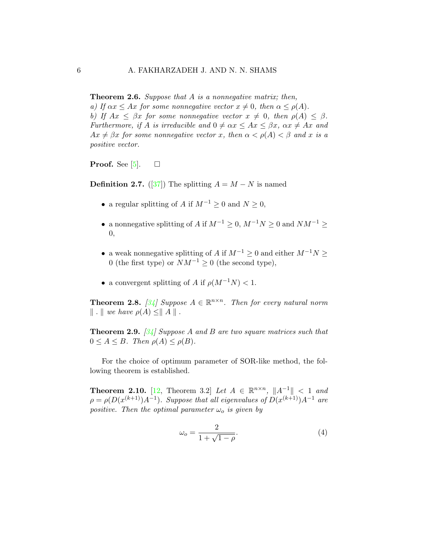<span id="page-5-2"></span>**Theorem 2.6.** Suppose that  $A$  is a nonnegative matrix; then, a) If  $\alpha x \leq Ax$  for some nonnegative vector  $x \neq 0$ , then  $\alpha \leq \rho(A)$ . b) If  $Ax < \beta x$  for some nonnegative vector  $x \neq 0$ , then  $\rho(A) < \beta$ . Furthermore, if A is irreducible and  $0 \neq \alpha x \leq Ax \leq \beta x$ ,  $\alpha x \neq Ax$  and  $Ax \neq \beta x$  for some nonnegative vector x, then  $\alpha < \rho(A) < \beta$  and x is a positive vector.

**Proof.** See [\[5\]](#page-18-1).  $\Box$ 

**Definition 2.7.** ([\[37\]](#page-21-11)) The splitting  $A = M - N$  is named

- a regular splitting of A if  $M^{-1} \geq 0$  and  $N \geq 0$ ,
- a nonnegative splitting of A if  $M^{-1} \geq 0$ ,  $M^{-1}N \geq 0$  and  $NM^{-1} \geq 0$ 0,
- a weak nonnegative splitting of A if  $M^{-1} \geq 0$  and either  $M^{-1}N \geq$ 0 (the first type) or  $NM^{-1} \geq 0$  (the second type),
- a convergent splitting of A if  $\rho(M^{-1}N) < 1$ .

<span id="page-5-0"></span>**Theorem 2.8.** [\[34\]](#page-21-12) Suppose  $A \in \mathbb{R}^{n \times n}$ . Then for every natural norm  $\Vert \cdot \Vert$  we have  $\rho(A) \leq \Vert A \Vert$ .

<span id="page-5-1"></span>**Theorem 2.9.** [\[34\]](#page-21-12) Suppose A and B are two square matrices such that  $0 \leq A \leq B$ . Then  $\rho(A) \leq \rho(B)$ .

For the choice of optimum parameter of SOR-like method, the following theorem is established.

**Theorem 2.10.** [\[12,](#page-19-5) Theorem 3.2] Let  $A \in \mathbb{R}^{n \times n}$ ,  $||A^{-1}|| < 1$  and  $\rho = \rho(D(x^{(k+1)})A^{-1})$ . Suppose that all eigenvalues of  $D(x^{(k+1)})A^{-1}$  are positive. Then the optimal parameter  $\omega_o$  is given by

<span id="page-5-3"></span>
$$
\omega_o = \frac{2}{1 + \sqrt{1 - \rho}}.\tag{4}
$$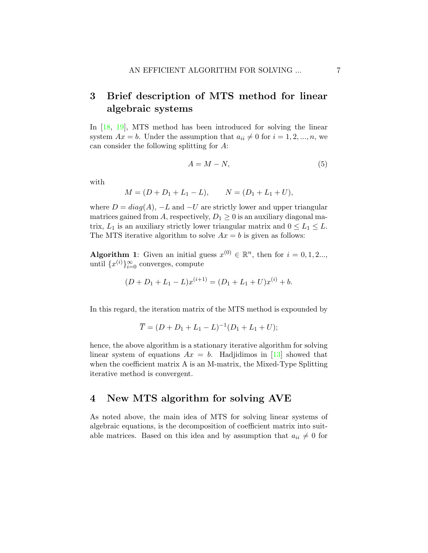# 3 Brief description of MTS method for linear algebraic systems

In [\[18,](#page-20-10) [19\]](#page-20-11), MTS method has been introduced for solving the linear system  $Ax = b$ . Under the assumption that  $a_{ii} \neq 0$  for  $i = 1, 2, ..., n$ , we can consider the following splitting for A:

<span id="page-6-0"></span>
$$
A = M - N,\t\t(5)
$$

with

$$
M = (D + D_1 + L_1 - L), \qquad N = (D_1 + L_1 + U),
$$

where  $D = diag(A)$ ,  $-L$  and  $-U$  are strictly lower and upper triangular matrices gained from A, respectively,  $D_1 \geq 0$  is an auxiliary diagonal matrix,  $L_1$  is an auxiliary strictly lower triangular matrix and  $0 \le L_1 \le L$ . The MTS iterative algorithm to solve  $Ax = b$  is given as follows:

**Algorithm 1**: Given an initial guess  $x^{(0)} \in \mathbb{R}^n$ , then for  $i = 0, 1, 2...$ , until  $\{x^{(i)}\}_{i=0}^{\infty}$  converges, compute

$$
(D + D_1 + L_1 - L)x^{(i+1)} = (D_1 + L_1 + U)x^{(i)} + b.
$$

In this regard, the iteration matrix of the MTS method is expounded by

$$
\overline{T} = (D + D_1 + L_1 - L)^{-1} (D_1 + L_1 + U);
$$

hence, the above algorithm is a stationary iterative algorithm for solving linear system of equations  $Ax = b$ . Hadjidimos in [\[13\]](#page-19-7) showed that when the coefficient matrix A is an M-matrix, the Mixed-Type Splitting iterative method is convergent.

## 4 New MTS algorithm for solving AVE

As noted above, the main idea of MTS for solving linear systems of algebraic equations, is the decomposition of coefficient matrix into suitable matrices. Based on this idea and by assumption that  $a_{ii} \neq 0$  for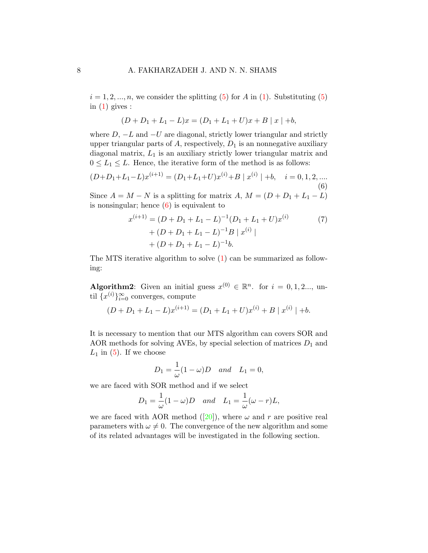$i = 1, 2, ..., n$ , we consider the splitting [\(5\)](#page-6-0) for A in [\(1\)](#page-1-0). Substituting (5) in  $(1)$  gives :

$$
(D + D_1 + L_1 - L)x = (D_1 + L_1 + U)x + B |x| + b,
$$

where  $D, -L$  and  $-U$  are diagonal, strictly lower triangular and strictly upper triangular parts of  $A$ , respectively,  $D_1$  is an nonnegative auxiliary diagonal matrix,  $L_1$  is an auxiliary strictly lower triangular matrix and  $0 \leq L_1 \leq L$ . Hence, the iterative form of the method is as follows:

<span id="page-7-0"></span>
$$
(D+D_1+L_1-L)x^{(i+1)} = (D_1+L_1+U)x^{(i)} + B | x^{(i)} | +b, \quad i = 0, 1, 2, ....
$$
\n(6)

Since  $A = M - N$  is a splitting for matrix  $A, M = (D + D_1 + L_1 - L)$ is nonsingular; hence  $(6)$  is equivalent to

<span id="page-7-1"></span>
$$
x^{(i+1)} = (D + D_1 + L_1 - L)^{-1} (D_1 + L_1 + U) x^{(i)}
$$
  
+ 
$$
(D + D_1 + L_1 - L)^{-1} B | x^{(i)} |
$$
  
+ 
$$
(D + D_1 + L_1 - L)^{-1} b.
$$
 (7)

The MTS iterative algorithm to solve [\(1\)](#page-1-0) can be summarized as following:

**Algorithm2**: Given an initial guess  $x^{(0)} \in \mathbb{R}^n$ . for  $i = 0, 1, 2, \ldots$ , until  $\{x^{(i)}\}_{i=0}^{\infty}$  converges, compute

$$
(D + D1 + L1 - L)x(i+1) = (D1 + L1 + U)x(i) + B | x(i) | +b.
$$

It is necessary to mention that our MTS algorithm can covers SOR and AOR methods for solving AVEs, by special selection of matrices  $D_1$  and  $L_1$  in [\(5\)](#page-6-0). If we choose

$$
D_1 = \frac{1}{\omega}(1 - \omega)D \quad and \quad L_1 = 0,
$$

we are faced with SOR method and if we select

$$
D_1 = \frac{1}{\omega}(1 - \omega)D \quad and \quad L_1 = \frac{1}{\omega}(\omega - r)L,
$$

weare faced with AOR method ([\[20\]](#page-20-4)), where  $\omega$  and r are positive real parameters with  $\omega \neq 0$ . The convergence of the new algorithm and some of its related advantages will be investigated in the following section.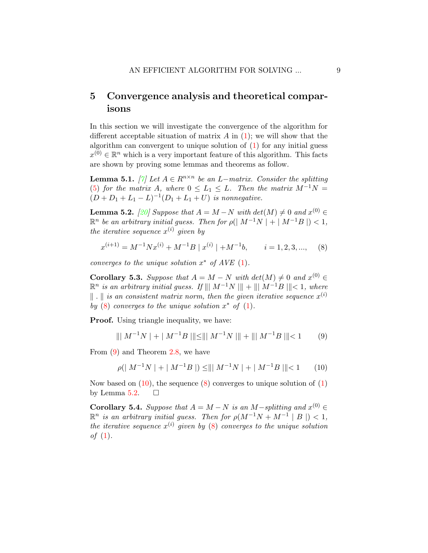# 5 Convergence analysis and theoretical comparisons

In this section we will investigate the convergence of the algorithm for different acceptable situation of matrix  $A$  in  $(1)$ ; we will show that the algorithm can convergent to unique solution of [\(1\)](#page-1-0) for any initial guess  $x^{(0)} \in \mathbb{R}^n$  which is a very important feature of this algorithm. This facts are shown by proving some lemmas and theorems as follow.

<span id="page-8-5"></span>**Lemma 5.1.** [\[7\]](#page-19-8) Let  $A \in R^{n \times n}$  be an L-matrix. Consider the splitting [\(5\)](#page-6-0) for the matrix A, where  $0 \leq L_1 \leq L$ . Then the matrix  $M^{-1}N =$  $(D+D_1+L_1-L)^{-1}(D_1+L_1+U)$  is nonnegative.

<span id="page-8-3"></span>**Lemma 5.2.** [\[20\]](#page-20-4) Suppose that  $A = M - N$  with  $det(M) \neq 0$  and  $x^{(0)} \in$  $\mathbb{R}^n$  be an arbitrary initial guess. Then for  $\rho(|M^{-1}N| + |M^{-1}B|) < 1$ , the iterative sequence  $x^{(i)}$  given by

<span id="page-8-0"></span>
$$
x^{(i+1)} = M^{-1}Nx^{(i)} + M^{-1}B \mid x^{(i)} \mid + M^{-1}b, \qquad i = 1, 2, 3, ..., \tag{8}
$$

converges to the unique solution  $x^*$  of AVE  $(1)$ .

**Corollary 5.3.** Suppose that  $A = M - N$  with  $det(M) \neq 0$  and  $x^{(0)} \in$  $\mathbb{R}^n$  is an arbitrary initial guess. If  $\| \parallel M^{-1}N \parallel \parallel + \parallel \parallel M^{-1}B \parallel \parallel < 1$ , where  $\|\cdot\|$  is an consistent matrix norm, then the given iterative sequence  $x^{(i)}$ by  $(8)$  converges to the unique solution  $x^*$  of  $(1)$ .

**Proof.** Using triangle inequality, we have:

<span id="page-8-1"></span>
$$
\| \| M^{-1} N \| + \| M^{-1} B \| \| \le \| \| M^{-1} N \| \| + \| \| M^{-1} B \| \| < 1 \tag{9}
$$

From [\(9\)](#page-8-1) and Theorem [2.8,](#page-5-0) we have

<span id="page-8-2"></span>
$$
\rho(\mid M^{-1}N \mid + \mid M^{-1}B \mid) \leq ||\mid M^{-1}N \mid + \mid M^{-1}B \mid || < 1 \qquad (10)
$$

Now based on  $(10)$ , the sequence  $(8)$  converges to unique solution of  $(1)$ by Lemma [5.2.](#page-8-3)  $\Box$ 

<span id="page-8-4"></span>**Corollary 5.4.** Suppose that  $A = M - N$  is an M-splitting and  $x^{(0)} \in$  $\mathbb{R}^n$  is an arbitrary initial guess. Then for  $\rho(M^{-1}N + M^{-1} | B |) < 1$ , the iterative sequence  $x^{(i)}$  given by [\(8\)](#page-8-0) converges to the unique solution of  $(1)$ .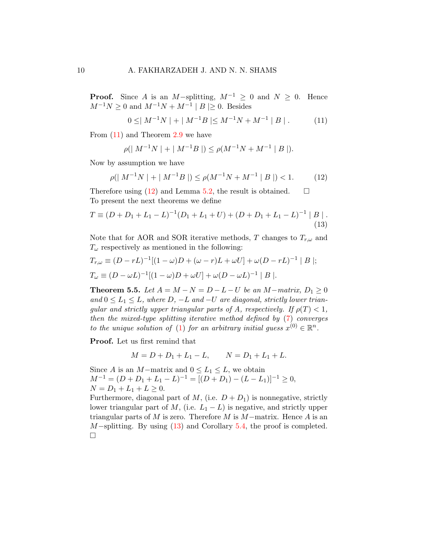**Proof.** Since A is an M-splitting,  $M^{-1} \geq 0$  and  $N \geq 0$ . Hence  $M^{-1}N \ge 0$  and  $M^{-1}N + M^{-1} | B | \ge 0$ . Besides

<span id="page-9-0"></span>
$$
0 \leq |M^{-1}N| + |M^{-1}B| \leq M^{-1}N + M^{-1} |B|.
$$
 (11)

From [\(11\)](#page-9-0) and Theorem [2.9](#page-5-1) we have

<span id="page-9-2"></span><span id="page-9-1"></span>
$$
\rho(|M^{-1}N| + |M^{-1}B|) \le \rho(M^{-1}N + M^{-1} |B|).
$$

Now by assumption we have

$$
\rho(|M^{-1}N| + |M^{-1}B|) \le \rho(M^{-1}N + M^{-1} |B|) < 1. \tag{12}
$$

Therefore using [\(12\)](#page-9-1) and Lemma [5.2,](#page-8-3) the result is obtained.  $\square$ To present the next theorems we define

$$
T \equiv (D + D_1 + L_1 - L)^{-1} (D_1 + L_1 + U) + (D + D_1 + L_1 - L)^{-1} |B|.
$$
\n(13)

Note that for AOR and SOR iterative methods, T changes to  $T_{r,\omega}$  and  $T_{\omega}$  respectively as mentioned in the following:

$$
T_{r,\omega} \equiv (D - rL)^{-1}[(1 - \omega)D + (\omega - r)L + \omega U] + \omega (D - rL)^{-1} |B|;
$$
  
\n
$$
T_{\omega} \equiv (D - \omega L)^{-1}[(1 - \omega)D + \omega U] + \omega (D - \omega L)^{-1} |B|.
$$

**Theorem 5.5.** Let  $A = M - N = D - L - U$  be an M−matrix,  $D_1 \ge 0$ and  $0 \leq L_1 \leq L$ , where  $D, -L$  and  $-U$  are diagonal, strictly lower triangular and strictly upper triangular parts of A, respectively. If  $\rho(T) < 1$ , then the mixed-type splitting iterative method defined by [\(7\)](#page-7-1) converges to the unique solution of [\(1\)](#page-1-0) for an arbitrary initial guess  $x^{(0)} \in \mathbb{R}^n$ .

Proof. Let us first remind that

$$
M = D + D_1 + L_1 - L, \qquad N = D_1 + L_1 + L.
$$

Since A is an M−matrix and  $0 \leq L_1 \leq L$ , we obtain  $M^{-1} = (D + D_1 + L_1 - L)^{-1} = [(D + D_1) - (L - L_1)]^{-1} \ge 0,$  $N = D_1 + L_1 + L \geq 0.$ 

Furthermore, diagonal part of M, (i.e.  $D + D_1$ ) is nonnegative, strictly lower triangular part of M, (i.e.  $L_1 - L$ ) is negative, and strictly upper triangular parts of M is zero. Therefore M is  $M$ –matrix. Hence A is an M−splitting. By using [\(13\)](#page-9-2) and Corollary [5.4,](#page-8-4) the proof is completed.  $\Box$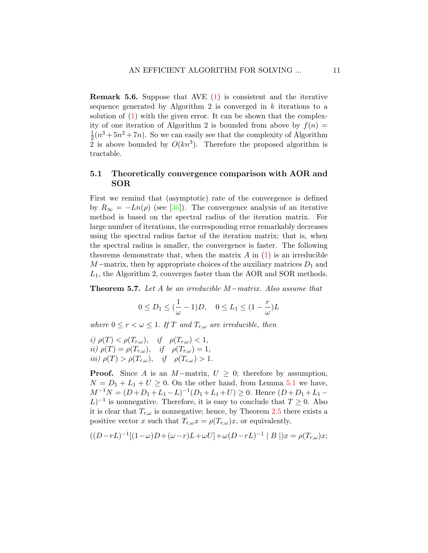Remark 5.6. Suppose that AVE [\(1\)](#page-1-0) is consistent and the iterative sequence generated by Algorithm 2 is converged in  $k$  iterations to a solution of  $(1)$  with the given error. It can be shown that the complexity of one iteration of Algorithm 2 is bounded from above by  $f(n) =$ 1  $\frac{1}{2}(n^3+5n^2+7n)$ . So we can easily see that the complexity of Algorithm 2 is above bounded by  $O(kn^3)$ . Therefore the proposed algorithm is tractable.

## 5.1 Theoretically convergence comparison with AOR and SOR

First we remind that (asymptotic) rate of the convergence is defined by  $R_{\infty} = -Ln(\rho)$  (see [\[36\]](#page-21-10)). The convergence analysis of an iterative method is based on the spectral radius of the iteration matrix. For large number of iterations, the corresponding error remarkably decreases using the spectral radius factor of the iteration matrix; that is, when the spectral radius is smaller, the convergence is faster. The following theorems demonstrate that, when the matrix  $A$  in  $(1)$  is an irreducible  $M$ −matrix, then by appropriate choices of the auxiliary matrices  $D_1$  and  $L_1$ , the Algorithm 2, converges faster than the AOR and SOR methods.

<span id="page-10-0"></span>Theorem 5.7. Let A be an irreducible M−matrix. Also assume that

$$
0\leq D_1\leq (\frac{1}{\omega}-1)D,\quad 0\leq L_1\leq (1-\frac{r}{\omega})L
$$

where  $0 \le r < \omega \le 1$ . If T and  $T_{r,\omega}$  are irreducible, then

*i)* 
$$
\rho(T) < \rho(T_{r,\omega}),
$$
 *if*  $\rho(T_{r,\omega}) < 1,$   
\n*ii)*  $\rho(T) = \rho(T_{r,\omega}),$  *if*  $\rho(T_{r,\omega}) = 1,$   
\n*iii)*  $\rho(T) > \rho(T_{r,\omega}),$  *if*  $\rho(T_{r,\omega}) > 1.$ 

**Proof.** Since A is an M−matrix,  $U > 0$ ; therefore by assumption,  $N = D_1 + L_1 + U \geq 0$ . On the other hand, from Lemma [5.1](#page-8-5) we have,  $M^{-1}N = (D+D_1+L_1-L)^{-1}(D_1+L_1+U) \geq 0$ . Hence  $(D+D_1+L_1-L)$  $L$ )<sup>-1</sup> is nonnegative. Therefore, it is easy to conclude that  $T \geq 0$ . Also it is clear that  $T_{r,\omega}$  is nonnegative; hence, by Theorem [2.5](#page-4-0) there exists a positive vector x such that  $T_{r,\omega}x = \rho(T_{r,\omega})x$ , or equivalently,

$$
((D-rL)^{-1}[(1-\omega)D+(\omega-r)L+\omega U]+\omega(D-rL)^{-1}\mid B\mid)x=\rho(T_{r,\omega})x;
$$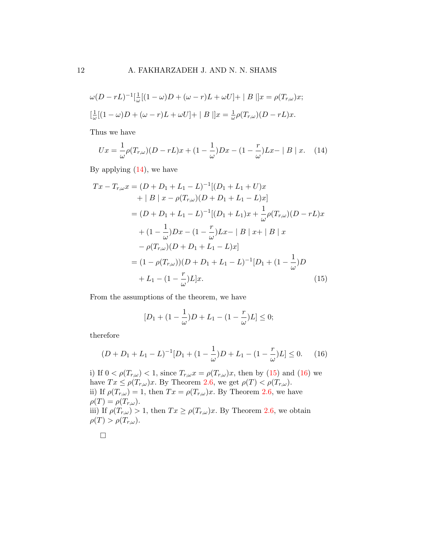$$
\omega(D - rL)^{-1} \left[\frac{1}{\omega}[(1 - \omega)D + (\omega - r)L + \omega U] + |B||x = \rho(T_{r,\omega})x\right]
$$

$$
\left[\frac{1}{\omega}[(1 - \omega)D + (\omega - r)L + \omega U] + |B||x = \frac{1}{\omega}\rho(T_{r,\omega})(D - rL)x.
$$

Thus we have

<span id="page-11-0"></span>
$$
Ux = \frac{1}{\omega}\rho(T_{r,\omega})(D - rL)x + (1 - \frac{1}{\omega})Dx - (1 - \frac{r}{\omega})Lx - |B|x.
$$
 (14)

By applying  $(14)$ , we have

$$
Tx - T_{r,\omega}x = (D + D_1 + L_1 - L)^{-1}[(D_1 + L_1 + U)x
$$
  
+ | B | x - \rho(T\_{r,\omega})(D + D\_1 + L\_1 - L)x]  
= (D + D\_1 + L\_1 - L)^{-1}[(D\_1 + L\_1)x + \frac{1}{\omega}\rho(T\_{r,\omega})(D - rL)x  
+ (1 - \frac{1}{\omega})Dx - (1 - \frac{r}{\omega})Lx - |B| x + |B| x  
- \rho(T\_{r,\omega})(D + D\_1 + L\_1 - L)x]  
= (1 - \rho(T\_{r,\omega}))(D + D\_1 + L\_1 - L)^{-1}[D\_1 + (1 - \frac{1}{\omega})D  
+ L\_1 - (1 - \frac{r}{\omega})L]x.(15)

From the assumptions of the theorem, we have

<span id="page-11-1"></span>
$$
[D_1 + (1 - \frac{1}{\omega})D + L_1 - (1 - \frac{r}{\omega})L] \le 0;
$$

therefore

<span id="page-11-2"></span>
$$
(D+D_1+L_1-L)^{-1}[D_1+(1-\frac{1}{\omega})D+L_1-(1-\frac{r}{\omega})L] \le 0.
$$
 (16)

i) If  $0 < \rho(T_{r,\omega}) < 1$ , since  $T_{r,\omega}x = \rho(T_{r,\omega})x$ , then by [\(15\)](#page-11-1) and [\(16\)](#page-11-2) we have  $Tx \leq \rho(T_{r,\omega})x$ . By Theorem [2.6,](#page-5-2) we get  $\rho(T) < \rho(T_{r,\omega})$ . ii) If  $\rho(T_{r,\omega}) = 1$ , then  $Tx = \rho(T_{r,\omega})x$ . By Theorem [2.6,](#page-5-2) we have  $\rho(T) = \rho(T_{r,\omega}).$ iii) If  $\rho(T_{r,\omega}) > 1$ , then  $Tx \geq \rho(T_{r,\omega})x$ . By Theorem [2.6,](#page-5-2) we obtain  $\rho(T) > \rho(T_{r,\omega}).$ 

$$
\qquad \qquad \Box
$$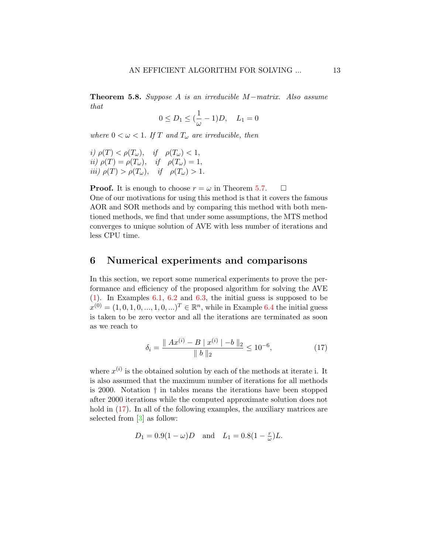Theorem 5.8. Suppose A is an irreducible M−matrix. Also assume that

$$
0 \le D_1 \le (\frac{1}{\omega} - 1)D, \quad L_1 = 0
$$

where  $0 < \omega < 1$ . If T and  $T_{\omega}$  are irreducible, then

*i)* 
$$
\rho(T) < \rho(T_{\omega}),
$$
 *if*  $\rho(T_{\omega}) < 1,$   
\n*ii)*  $\rho(T) = \rho(T_{\omega}),$  *if*  $\rho(T_{\omega}) = 1,$   
\n*iii)*  $\rho(T) > \rho(T_{\omega}),$  *if*  $\rho(T_{\omega}) > 1.$ 

**Proof.** It is enough to choose  $r = \omega$  in Theorem [5.7.](#page-10-0)  $\Box$ One of our motivations for using this method is that it covers the famous AOR and SOR methods and by comparing this method with both mentioned methods, we find that under some assumptions, the MTS method converges to unique solution of AVE with less number of iterations and less CPU time.

## 6 Numerical experiments and comparisons

In this section, we report some numerical experiments to prove the performance and efficiency of the proposed algorithm for solving the AVE [\(1\)](#page-1-0). In Examples [6.1,](#page-13-0) [6.2](#page-13-1) and [6.3,](#page-15-0) the initial guess is supposed to be  $x^{(0)} = (1, 0, 1, 0, ..., 1, 0, ...)$ <sup>T</sup>  $\in \mathbb{R}^n$ , while in Example [6.4](#page-16-0) the initial guess is taken to be zero vector and all the iterations are terminated as soon as we reach to

<span id="page-12-0"></span>
$$
\delta_i = \frac{\|Ax^{(i)} - B \mid x^{(i)}\| - b\|_2}{\|b\|_2} \le 10^{-6},\tag{17}
$$

where  $x^{(i)}$  is the obtained solution by each of the methods at iterate i. It is also assumed that the maximum number of iterations for all methods is 2000. Notation † in tables means the iterations have been stopped after 2000 iterations while the computed approximate solution does not hold in  $(17)$ . In all of the following examples, the auxiliary matrices are selected from [\[3\]](#page-18-2) as follow:

$$
D_1 = 0.9(1 - \omega)D
$$
 and  $L_1 = 0.8(1 - \frac{r}{\omega})L$ .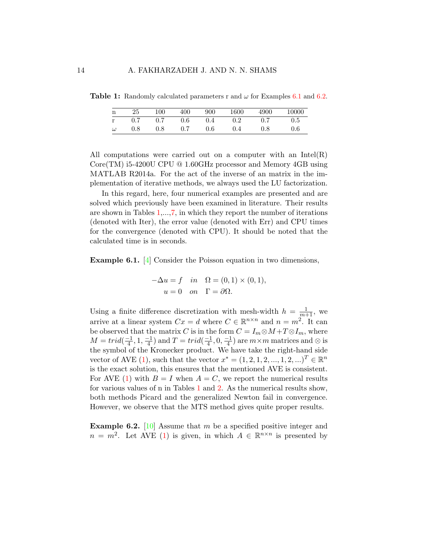|  |  |  | 25 100 400 900 1600 4900 10000       |  |
|--|--|--|--------------------------------------|--|
|  |  |  | r 0.7 0.7 0.6 0.4 0.2 0.7 0.5        |  |
|  |  |  | $\omega$ 0.8 0.8 0.7 0.6 0.4 0.8 0.6 |  |

<span id="page-13-2"></span>**Table 1:** Randomly calculated parameters r and  $\omega$  for Examples [6.1](#page-13-0) and [6.2.](#page-13-1)

All computations were carried out on a computer with an  $Intel(R)$ Core(TM) i5-4200U CPU @ 1.60GHz processor and Memory 4GB using MATLAB R2014a. For the act of the inverse of an matrix in the implementation of iterative methods, we always used the LU factorization.

In this regard, here, four numerical examples are presented and are solved which previously have been examined in literature. Their results are shown in Tables [1,](#page-13-2)...[,7,](#page-18-3) in which they report the number of iterations (denoted with Iter), the error value (denoted with Err) and CPU times for the convergence (denoted with CPU). It should be noted that the calculated time is in seconds.

<span id="page-13-0"></span>Example 6.1. [\[4\]](#page-18-4) Consider the Poisson equation in two dimensions,

$$
-\Delta u = f \quad in \quad \Omega = (0,1) \times (0,1),
$$

$$
u = 0 \quad on \quad \Gamma = \partial \Omega.
$$

Using a finite difference discretization with mesh-width  $h = \frac{1}{m+1}$ , we arrive at a linear system  $Cx = d$  where  $C \in \mathbb{R}^{n \times n}$  and  $n = m^2$ . It can be observed that the matrix C is in the form  $C = I_m \otimes M + T \otimes I_m$ , where  $M = trid(\frac{-1}{4})$  $\frac{-1}{4}$ , 1,  $\frac{-1}{4}$  $\frac{-1}{4}$ ) and  $T = trid(\frac{-1}{4})$  $\frac{-1}{4}$ , 0,  $\frac{-1}{4}$  $\frac{-1}{4}$ ) are  $m \times m$  matrices and  $\otimes$  is the symbol of the Kronecker product. We have take the right-hand side vector of AVE [\(1\)](#page-1-0), such that the vector  $x^* = (1, 2, 1, 2, ..., 1, 2, ...)$ <sup>T</sup>  $\in \mathbb{R}^n$ is the exact solution, this ensures that the mentioned AVE is consistent. For AVE [\(1\)](#page-1-0) with  $B = I$  when  $A = C$ , we report the numerical results for various values of n in Tables [1](#page-13-2) and [2.](#page-14-0) As the numerical results show, both methods Picard and the generalized Newton fail in convergence. However, we observe that the MTS method gives quite proper results.

<span id="page-13-1"></span>**Example 6.2.** [\[10\]](#page-19-9) Assume that m be a specified positive integer and  $n = m^2$ . Let AVE [\(1\)](#page-1-0) is given, in which  $A \in \mathbb{R}^{n \times n}$  is presented by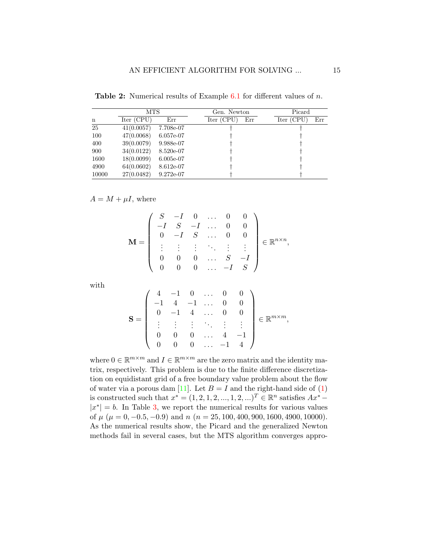<span id="page-14-0"></span>

| <b>Table 2:</b> Numerical results of Example 6.1 for different values of $n$ . |  |  |  |  |  |  |  |
|--------------------------------------------------------------------------------|--|--|--|--|--|--|--|
|--------------------------------------------------------------------------------|--|--|--|--|--|--|--|

|       | <b>MTS</b> |             | Gen. Newton       | Picard            |
|-------|------------|-------------|-------------------|-------------------|
| n     | Iter (CPU) | Err         | Iter (CPU)<br>Err | Iter (CPU)<br>Err |
| 25    | 41(0.0057) | 7.708e-07   |                   |                   |
| 100   | 47(0.0068) | 6.057e-07   |                   |                   |
| 400   | 39(0.0079) | 9.988e-07   |                   |                   |
| 900   | 34(0.0122) | 8.520e-07   |                   |                   |
| 1600  | 18(0.0099) | $6.005e-07$ |                   |                   |
| 4900  | 64(0.0602) | 8.612e-07   |                   |                   |
| 10000 | 27(0.0482) | $9.272e-07$ |                   |                   |

### $A = M + \mu I$ , where

$$
\mathbf{M} = \left( \begin{array}{cccccc} S & -I & 0 & \dots & 0 & 0 \\ -I & S & -I & \dots & 0 & 0 \\ 0 & -I & S & \dots & 0 & 0 \\ \vdots & \vdots & \vdots & \ddots & \vdots & \vdots \\ 0 & 0 & 0 & \dots & S & -I \\ 0 & 0 & 0 & \dots & -I & S \end{array} \right) \in \mathbb{R}^{n \times n},
$$

with

$$
\mathbf{S} = \left( \begin{array}{ccccc} 4 & -1 & 0 & \dots & 0 & 0 \\ -1 & 4 & -1 & \dots & 0 & 0 \\ 0 & -1 & 4 & \dots & 0 & 0 \\ \vdots & \vdots & \vdots & \ddots & \vdots & \vdots \\ 0 & 0 & 0 & \dots & 4 & -1 \\ 0 & 0 & 0 & \dots & -1 & 4 \end{array} \right) \in \mathbb{R}^{m \times m},
$$

where  $0 \in \mathbb{R}^{m \times m}$  and  $I \in \mathbb{R}^{m \times m}$  are the zero matrix and the identity matrix, respectively. This problem is due to the finite difference discretization on equidistant grid of a free boundary value problem about the flow of water via a porous dam [\[11\]](#page-19-10). Let  $B = I$  and the right-hand side of [\(1\)](#page-1-0) is constructed such that  $x^* = (1, 2, 1, 2, ..., 1, 2, ...)$ <sup>T</sup>  $\in \mathbb{R}^n$  satisfies  $Ax^*$  –  $|x^*|=b$ . In Table [3,](#page-15-1) we report the numerical results for various values of  $\mu$  ( $\mu = 0, -0.5, -0.9$ ) and  $n$  ( $n = 25, 100, 400, 900, 1600, 4900, 10000$ ). As the numerical results show, the Picard and the generalized Newton methods fail in several cases, but the MTS algorithm converges appro-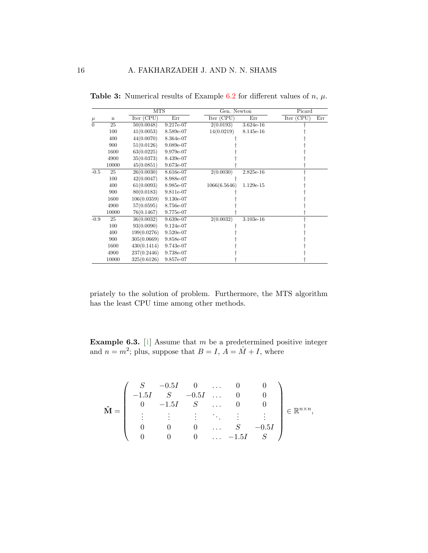|                |       | <b>MTS</b>  |             | Gen. Newton  |             | Picard     |     |
|----------------|-------|-------------|-------------|--------------|-------------|------------|-----|
| $\mu$          | n     | Iter (CPU)  | Err         | Iter (CPU)   | Err         | Iter (CPU) | Err |
| $\overline{0}$ | 25    | 50(0.0048)  | 9.217e-07   | 2(0.0193)    | $3.624e-16$ |            |     |
|                | 100   | 41(0.0053)  | 8.589e-07   | 14(0.0219)   | 8.145e-16   |            |     |
|                | 400   | 44(0.0070)  | 8.364e-07   |              |             |            |     |
|                | 900   | 51(0.0126)  | 9.089e-07   |              |             |            |     |
|                | 1600  | 63(0.0225)  | 9.979e-07   |              |             |            |     |
|                | 4900  | 35(0.0373)  | 8.439e-07   |              |             |            |     |
|                | 10000 | 45(0.0851)  | 9.673e-07   |              |             |            |     |
| $-0.5$         | 25    | 26(0.0030)  | 8.616e-07   | 2(0.0030)    | 2.825e-16   |            |     |
|                | 100   | 42(0.0047)  | 8.988e-07   |              |             |            |     |
|                | 400   | 61(0.0093)  | 8.985e-07   | 1066(6.5646) | 1.129e-15   |            |     |
|                | 900   | 80(0.0183)  | 9.811e-07   |              |             |            |     |
|                | 1600  | 106(0.0359) | $9.130e-07$ |              |             |            |     |
|                | 4900  | 57(0.0595)  | 8.756e-07   |              |             |            |     |
|                | 10000 | 76(0.1467)  | $9.775e-07$ |              |             |            |     |
| $-0.9$         | 25    | 36(0.0032)  | 9.639e-07   | 2(0.0032)    | $3.103e-16$ |            |     |
|                | 100   | 93(0.0090)  | 9.124e-07   |              |             |            |     |
|                | 400   | 199(0.0276) | $9.520e-07$ |              |             |            |     |
|                | 900   | 305(0.0669) | 9.858e-07   |              |             |            |     |
|                | 1600  | 430(0.1414) | 9.743e-07   |              |             |            |     |
|                | 4900  | 237(0.2446) | 9.738e-07   |              |             |            |     |
|                | 10000 | 325(0.6126) | 9.857e-07   |              |             |            |     |

<span id="page-15-1"></span>**Table 3:** Numerical results of Example [6.2](#page-13-1) for different values of  $n, \mu$ .

priately to the solution of problem. Furthermore, the MTS algorithm has the least CPU time among other methods.

<span id="page-15-0"></span>**Example 6.3.** [\[1\]](#page-18-5) Assume that m be a predetermined positive integer and  $n = m^2$ ; plus, suppose that  $B = I$ ,  $\hat{A} = \hat{M} + I$ , where

$$
\hat{\mathbf{M}} = \left( \begin{array}{ccccc} S & -0.5I & 0 & \dots & 0 & 0 \\ -1.5I & S & -0.5I & \dots & 0 & 0 \\ 0 & -1.5I & S & \dots & 0 & 0 \\ \vdots & \vdots & \vdots & \ddots & \vdots & \vdots \\ 0 & 0 & 0 & \dots & S & -0.5I \\ 0 & 0 & 0 & \dots & -1.5I & S \end{array} \right) \in \mathbb{R}^{n \times n},
$$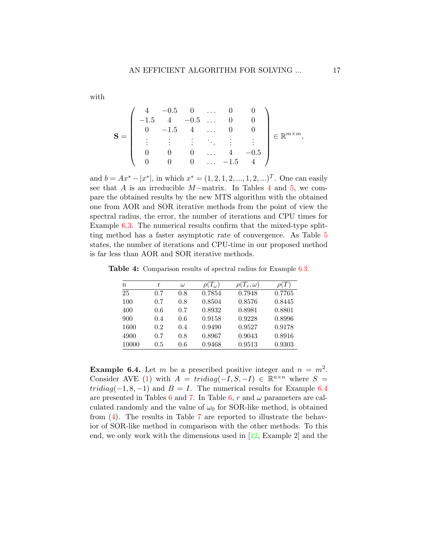$$
\mathbf{S} = \left( \begin{array}{ccccc} 4 & -0.5 & 0 & \dots & 0 & 0 \\ -1.5 & 4 & -0.5 & \dots & 0 & 0 \\ 0 & -1.5 & 4 & \dots & 0 & 0 \\ \vdots & \vdots & \vdots & \ddots & \vdots & \vdots \\ 0 & 0 & 0 & \dots & 4 & -0.5 \\ 0 & 0 & 0 & \dots & -1.5 & 4 \end{array} \right) \in \mathbb{R}^{m \times m},
$$

and  $b = Ax^* - |x^*|$ , in which  $x^* = (1, 2, 1, 2, ..., 1, 2, ...)$ <sup>T</sup>. One can easily see that A is an irreducible M−matrix. In Tables [4](#page-16-1) and [5,](#page-17-0) we compare the obtained results by the new MTS algorithm with the obtained one from AOR and SOR iterative methods from the point of view the spectral radius, the error, the number of iterations and CPU times for Example [6.3.](#page-15-0) The numerical results confirm that the mixed-type splitting method has a faster asymptotic rate of convergence. As Table [5](#page-17-0) states, the number of iterations and CPU-time in our proposed method is far less than AOR and SOR iterative methods.

<span id="page-16-1"></span>Table 4: Comparison results of spectral radius for Example [6.3.](#page-15-0)

| n     | r       | $\omega$ | $\rho(T_{\omega})$ | $\rho(T_r,\omega)$ | $\rho(T)$ |
|-------|---------|----------|--------------------|--------------------|-----------|
| 25    | 0.7     | 0.8      | 0.7854             | 0.7948             | 0.7765    |
| 100   | 0.7     | 0.8      | 0.8504             | 0.8576             | 0.8445    |
| 400   | 0.6     | 0.7      | 0.8932             | 0.8981             | 0.8801    |
| 900   | 0.4     | 0.6      | 0.9158             | 0.9228             | 0.8996    |
| 1600  | 0.2     | 0.4      | 0.9490             | 0.9527             | 0.9178    |
| 4900  | 0.7     | 0.8      | 0.8967             | 0.9043             | 0.8916    |
| 10000 | $0.5\,$ | 0.6      | 0.9468             | 0.9513             | 0.9303    |

<span id="page-16-0"></span>**Example 6.4.** Let m be a prescribed positive integer and  $n = m^2$ . Consider AVE [\(1\)](#page-1-0) with  $A = tridiag(-I, S, -I) \in \mathbb{R}^{n \times n}$  where  $S =$  $tridiag(-1, 8, -1)$  and  $B = I$ . The numerical results for Example [6.4](#page-16-0) are presented in Tables [6](#page-17-1) and [7.](#page-18-3) In Table [6,](#page-17-1) r and  $\omega$  parameters are calculated randomly and the value of  $\omega_0$  for SOR-like method, is obtained from [\(4\)](#page-5-3). The results in Table [7](#page-18-3) are reported to illustrate the behavior of SOR-like method in comparison with the other methods. To this end, we only work with the dimensions used in  $[12, \text{Example } 2]$  and the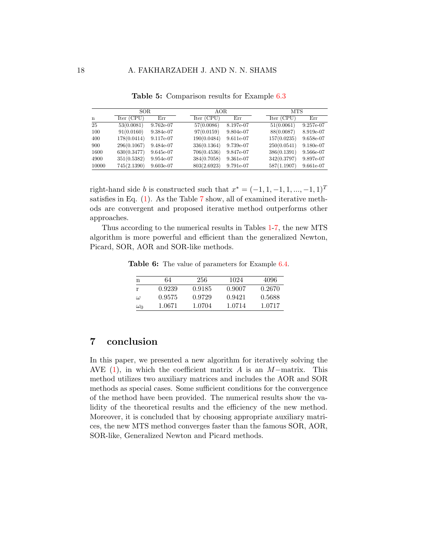<span id="page-17-0"></span>

|       | SOR.        |              | AOR.        |           |  | <b>MTS</b>  |           |
|-------|-------------|--------------|-------------|-----------|--|-------------|-----------|
| n     | Iter (CPU)  | $_{\rm Err}$ | Iter (CPU)  | Err       |  | Iter (CPU)  | Err       |
| 25    | 53(0.0081)  | 9.762e-07    | 57(0.0086)  | 8.197e-07 |  | 51(0.0061)  | 9.257e-07 |
| 100   | 91(0.0160)  | 9.384e-07    | 97(0.0159)  | 9.804e-07 |  | 88(0.0087)  | 8.919e-07 |
| 400   | 178(0.0414) | 9.117e-07    | 190(0.0484) | 9.611e-07 |  | 157(0.0235) | 9.658e-07 |
| 900   | 296(0.1067) | 9.484e-07    | 336(0.1364) | 9.739e-07 |  | 250(0.0541) | 9.180e-07 |
| 1600  | 630(0.3477) | 9.645e-07    | 706(0.4536) | 9.847e-07 |  | 386(0.1391) | 9.566e-07 |
| 4900  | 351(0.5382) | 9.954e-07    | 384(0.7058) | 9.361e-07 |  | 342(0.3797) | 9.897e-07 |
| 10000 | 745(2.1390) | $9.603e-07$  | 803(2.6923) | 9.791e-07 |  | 587(1.1907) | 9.661e-07 |

Table 5: Comparison results for Example [6.3](#page-15-0)

right-hand side b is constructed such that  $x^* = (-1, 1, -1, 1, ..., -1, 1)^T$ satisfies in Eq.  $(1)$ . As the Table [7](#page-18-3) show, all of examined iterative methods are convergent and proposed iterative method outperforms other approaches.

<span id="page-17-1"></span>Thus according to the numerical results in Tables [1-](#page-13-2)[7,](#page-18-3) the new MTS algorithm is more powerful and efficient than the generalized Newton, Picard, SOR, AOR and SOR-like methods.

Table 6: The value of parameters for Example [6.4.](#page-16-0)

| n          | 64     | 256    | 1024   | 4096   |
|------------|--------|--------|--------|--------|
| r          | 0.9239 | 0.9185 | 0.9007 | 0.2670 |
| $\omega$   | 0.9575 | 0.9729 | 0.9421 | 0.5688 |
| $\omega_0$ | 1.0671 | 1.0704 | 1.0714 | 1.0717 |

## 7 conclusion

In this paper, we presented a new algorithm for iteratively solving the AVE  $(1)$ , in which the coefficient matrix A is an M−matrix. This method utilizes two auxiliary matrices and includes the AOR and SOR methods as special cases. Some sufficient conditions for the convergence of the method have been provided. The numerical results show the validity of the theoretical results and the efficiency of the new method. Moreover, it is concluded that by choosing appropriate auxiliary matrices, the new MTS method converges faster than the famous SOR, AOR, SOR-like, Generalized Newton and Picard methods.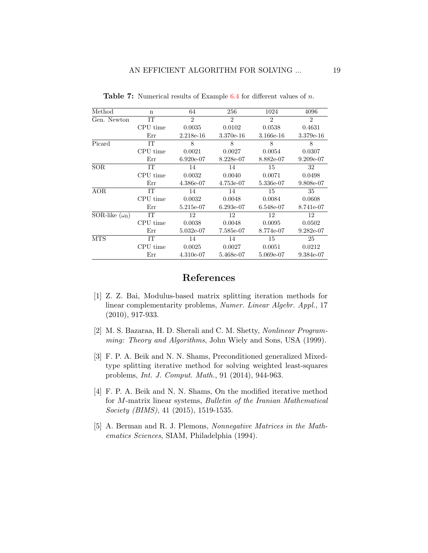| Method                                     | n         | 64             | 256            | 1024           | 4096           |
|--------------------------------------------|-----------|----------------|----------------|----------------|----------------|
| Gen. Newton                                | ĪТ        | $\overline{2}$ | $\overline{2}$ | $\mathfrak{D}$ | $\mathfrak{D}$ |
|                                            | CPU time  | 0.0035         | 0.0102         | 0.0538         | 0.4631         |
|                                            | Err       | 2.218e-16      | 3.370e-16      | 3.166e-16      | 3.379e-16      |
| Picard                                     | <b>IT</b> | 8              | 8              | 8              | 8              |
|                                            | CPU time  | 0.0021         | 0.0027         | 0.0054         | 0.0307         |
|                                            | Err       | 6.920e-07      | 8.228e-07      | 8.882e-07      | $9.209e-07$    |
| <b>SOR</b>                                 | IТ        | 14             | 14             | 15             | 32             |
|                                            | CPU time  | 0.0032         | 0.0040         | 0.0071         | 0.0498         |
|                                            | Err       | 4.386e-07      | 4.753e-07      | 5.336e-07      | 9.808e-07      |
| AOR                                        | IТ        | 14             | 14             | 15             | 35             |
|                                            | CPU time  | 0.0032         | 0.0048         | 0.0084         | 0.0608         |
|                                            | Err       | 5.215e-07      | 6.293e-07      | 6.548e-07      | 8.741e-07      |
| $\overline{\text{SOR}}$ -like $(\omega_0)$ | IТ        | 12             | 12             | 12             | 12             |
|                                            | CPU time  | 0.0038         | 0.0048         | 0.0095         | 0.0502         |
|                                            | Err       | 5.032e-07      | 7.585e-07      | 8.774e-07      | $9.282e-07$    |
| <b>MTS</b>                                 | TТ        | 14             | 14             | 15             | 25             |
|                                            | CPU time  | 0.0025         | 0.0027         | 0.0051         | 0.0212         |
|                                            | Err       | $4.310e-07$    | 5.468e-07      | 5.069e-07      | 9.384e-07      |
|                                            |           |                |                |                |                |

<span id="page-18-3"></span>Table 7: Numerical results of Example [6.4](#page-16-0) for different values of n.

## References

- <span id="page-18-5"></span>[1] Z. Z. Bai, Modulus-based matrix splitting iteration methods for linear complementarity problems, Numer. Linear Algebr. Appl., 17 (2010), 917-933.
- <span id="page-18-0"></span>[2] M. S. Bazaraa, H. D. Sherali and C. M. Shetty, Nonlinear Programming: Theory and Algorithms, John Wiely and Sons, USA (1999).
- <span id="page-18-2"></span>[3] F. P. A. Beik and N. N. Shams, Preconditioned generalized Mixedtype splitting iterative method for solving weighted least-squares problems, Int. J. Comput. Math., 91 (2014), 944-963.
- <span id="page-18-4"></span>[4] F. P. A. Beik and N. N. Shams, On the modified iterative method for M-matrix linear systems, Bulletin of the Iranian Mathematical Society (BIMS), 41 (2015), 1519-1535.
- <span id="page-18-1"></span>[5] A. Berman and R. J. Plemons, Nonnegative Matrices in the Mathematics Sciences, SIAM, Philadelphia (1994).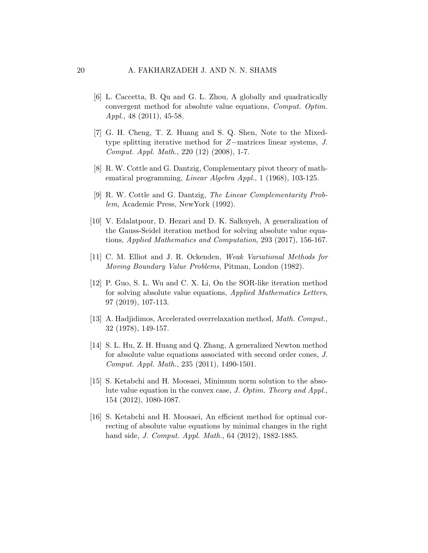- <span id="page-19-0"></span>[6] L. Caccetta, B. Qu and G. L. Zhou, A globally and quadratically convergent method for absolute value equations, Comput. Optim. Appl., 48 (2011), 45-58.
- <span id="page-19-8"></span>[7] G. H. Cheng, T. Z. Huang and S. Q. Shen, Note to the Mixedtype splitting iterative method for Z−matrices linear systems, J. Comput. Appl. Math., 220 (12) (2008), 1-7.
- <span id="page-19-3"></span>[8] R. W. Cottle and G. Dantzig, Complementary pivot theory of mathematical programming, Linear Algebra Appl., 1 (1968), 103-125.
- <span id="page-19-4"></span>[9] R. W. Cottle and G. Dantzig, The Linear Complementarity Problem, Academic Press, NewYork (1992).
- <span id="page-19-9"></span>[10] V. Edalatpour, D. Hezari and D. K. Salkuyeh, A generalization of the Gauss-Seidel iteration method for solving absolute value equations, Applied Mathematics and Computation, 293 (2017), 156-167.
- <span id="page-19-10"></span>[11] C. M. Elliot and J. R. Ockenden, Weak Variational Methods for Moving Boundary Value Problems, Pitman, London (1982).
- <span id="page-19-5"></span>[12] P. Guo, S. L. Wu and C. X. Li, On the SOR-like iteration method for solving absolute value equations, Applied Mathematics Letters, 97 (2019), 107-113.
- <span id="page-19-7"></span>[13] A. Hadjidimos, Accelerated overrelaxation method, Math. Comput., 32 (1978), 149-157.
- <span id="page-19-1"></span>[14] S. L. Hu, Z. H. Huang and Q. Zhang, A generalized Newton method for absolute value equations associated with second order cones, J. Comput. Appl. Math., 235 (2011), 1490-1501.
- <span id="page-19-6"></span>[15] S. Ketabchi and H. Moosaei, Minimum norm solution to the absolute value equation in the convex case, J. Optim. Theory and Appl., 154 (2012), 1080-1087.
- <span id="page-19-2"></span>[16] S. Ketabchi and H. Moosaei, An efficient method for optimal correcting of absolute value equations by minimal changes in the right hand side, *J. Comput. Appl. Math.*, 64 (2012), 1882-1885.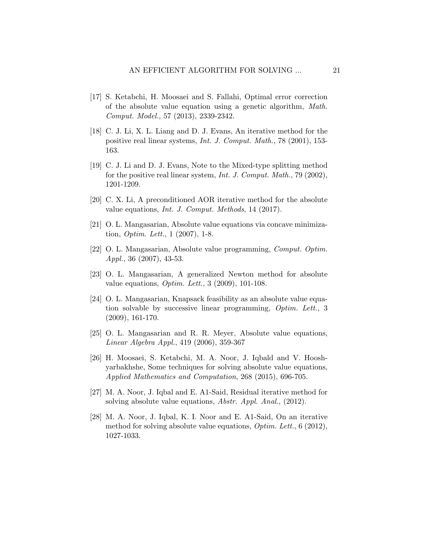- <span id="page-20-9"></span>[17] S. Ketabchi, H. Moosaei and S. Fallahi, Optimal error correction of the absolute value equation using a genetic algorithm, Math. Comput. Model., 57 (2013), 2339-2342.
- <span id="page-20-10"></span>[18] C. J. Li, X. L. Liang and D. J. Evans, An iterative method for the positive real linear systems, Int. J. Comput. Math., 78 (2001), 153- 163.
- <span id="page-20-11"></span>[19] C. J. Li and D. J. Evans, Note to the Mixed-type splitting method for the positive real linear system, *Int. J. Comput. Math.*, 79 (2002), 1201-1209.
- <span id="page-20-4"></span>[20] C. X. Li, A preconditioned AOR iterative method for the absolute value equations, Int. J. Comput. Methods, 14 (2017).
- <span id="page-20-0"></span>[21] O. L. Mangasarian, Absolute value equations via concave minimization, Optim. Lett., 1 (2007), 1-8.
- <span id="page-20-1"></span>[22] O. L. Mangasarian, Absolute value programming, Comput. Optim. Appl., 36 (2007), 43-53.
- <span id="page-20-2"></span>[23] O. L. Mangasarian, A generalized Newton method for absolute value equations, Optim. Lett., 3 (2009), 101-108.
- <span id="page-20-3"></span>[24] O. L. Mangasarian, Knapsack feasibility as an absolute value equation solvable by successive linear programming, Optim. Lett., 3 (2009), 161-170.
- <span id="page-20-7"></span>[25] O. L. Mangasarian and R. R. Meyer, Absolute value equations, Linear Algebra Appl., 419 (2006), 359-367
- <span id="page-20-8"></span>[26] H. Moosaei, S. Ketabchi, M. A. Noor, J. Iqbald and V. Hooshyarbakhshe, Some techniques for solving absolute value equations, Applied Mathematics and Computation, 268 (2015), 696-705.
- <span id="page-20-5"></span>[27] M. A. Noor, J. Iqbal and E. A1-Said, Residual iterative method for solving absolute value equations, *Abstr. Appl. Anal.*, (2012).
- <span id="page-20-6"></span>[28] M. A. Noor, J. Iqbal, K. I. Noor and E. A1-Said, On an iterative method for solving absolute value equations, *Optim. Lett.*, 6 (2012), 1027-1033.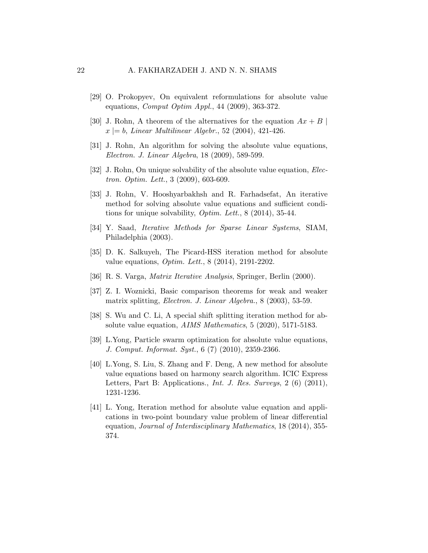- <span id="page-21-3"></span>[29] O. Prokopyev, On equivalent reformulations for absolute value equations, *Comput Optim Appl.*, 44 (2009), 363-372.
- <span id="page-21-0"></span>[30] J. Rohn, A theorem of the alternatives for the equation  $Ax + B$  $x \geq b$ , Linear Multilinear Algebr., 52 (2004), 421-426.
- <span id="page-21-2"></span>[31] J. Rohn, An algorithm for solving the absolute value equations, Electron. J. Linear Algebra, 18 (2009), 589-599.
- <span id="page-21-1"></span>[32] J. Rohn, On unique solvability of the absolute value equation, *Elec*tron. Optim. Lett., 3 (2009), 603-609.
- <span id="page-21-7"></span>[33] J. Rohn, V. Hooshyarbakhsh and R. Farhadsefat, An iterative method for solving absolute value equations and sufficient conditions for unique solvability,  $Optim$ . Lett., 8 (2014), 35-44.
- <span id="page-21-12"></span>[34] Y. Saad, Iterative Methods for Sparse Linear Systems, SIAM, Philadelphia (2003).
- <span id="page-21-9"></span>[35] D. K. Salkuyeh, The Picard-HSS iteration method for absolute value equations, Optim. Lett., 8 (2014), 2191-2202.
- <span id="page-21-10"></span>[36] R. S. Varga, Matrix Iterative Analysis, Springer, Berlin (2000).
- <span id="page-21-11"></span>[37] Z. I. Woznicki, Basic comparison theorems for weak and weaker matrix splitting, Electron. J. Linear Algebra., 8 (2003), 53-59.
- <span id="page-21-6"></span>[38] S. Wu and C. Li, A special shift splitting iteration method for absolute value equation, AIMS Mathematics, 5 (2020), 5171-5183.
- <span id="page-21-4"></span>[39] L.Yong, Particle swarm optimization for absolute value equations, J. Comput. Informat. Syst., 6 (7) (2010), 2359-2366.
- <span id="page-21-5"></span>[40] L.Yong, S. Liu, S. Zhang and F. Deng, A new method for absolute value equations based on harmony search algorithm. ICIC Express Letters, Part B: Applications., *Int. J. Res. Surveys*, 2 (6) (2011), 1231-1236.
- <span id="page-21-8"></span>[41] L. Yong, Iteration method for absolute value equation and applications in two-point boundary value problem of linear differential equation, Journal of Interdisciplinary Mathematics, 18 (2014), 355- 374.